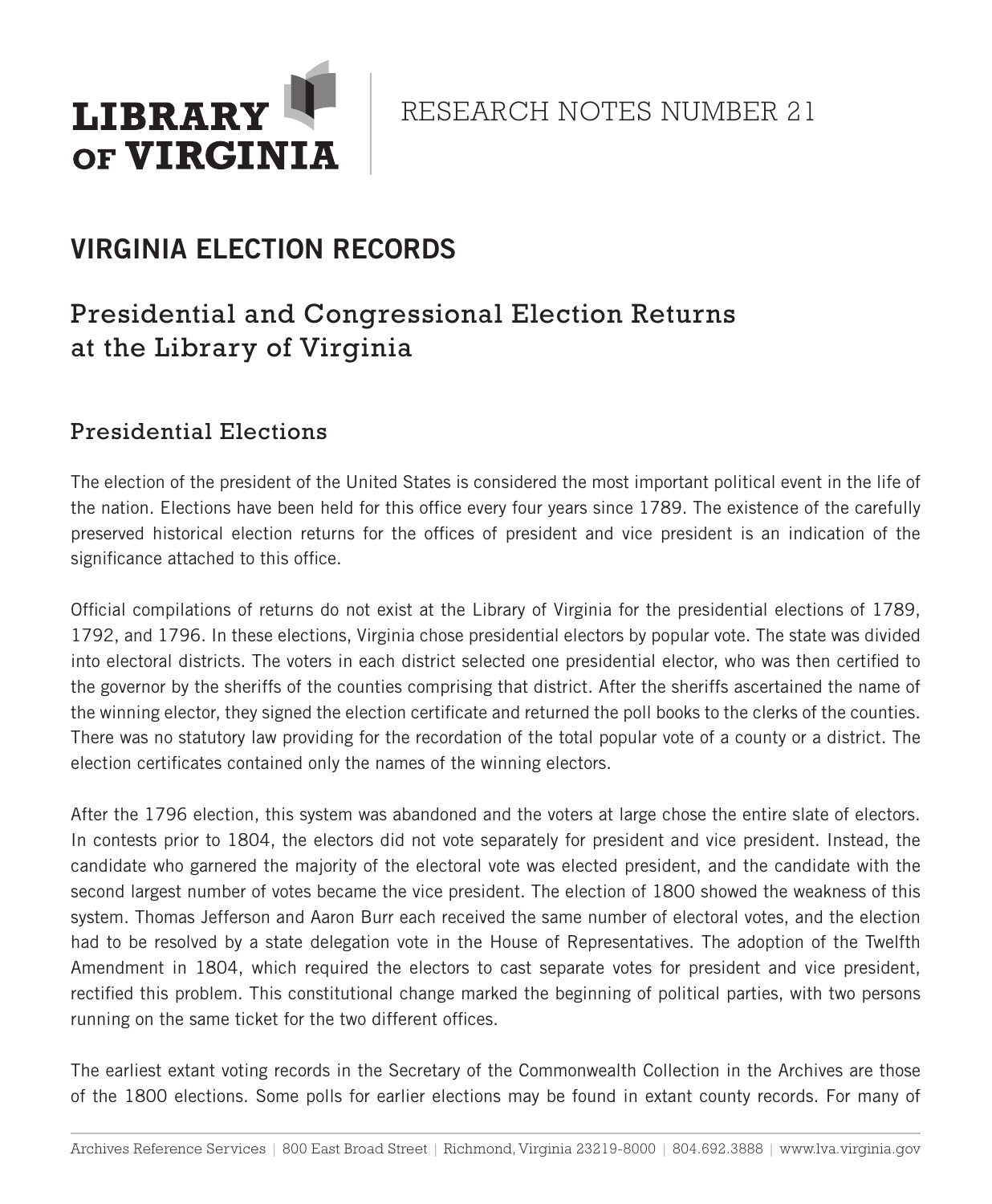

RESEARCH NOTES NUMBER 21

# VIRGINIA ELECTION RECORDS

## Presidential and Congressional Election Returns at the Library of Virginia

### Presidential Elections

The election of the president of the United States is considered the most important political event in the life of the nation. Elections have been held for this office every four years since 1789. The existence of the carefully preserved historical election returns for the offices of president and vice president is an indication of the significance attached to this office.

Official compilations of returns do not exist at the Library of Virginia for the presidential elections of 1789, 1792, and 1796. In these elections, Virginia chose presidential electors by popular vote. The state was divided into electoral districts. The voters in each district selected one presidential elector, who was then certified to the governor by the sheriffs of the counties comprising that district. After the sheriffs ascertained the name of the winning elector, they signed the election certificate and returned the poll books to the clerks of the counties. There was no statutory law providing for the recordation of the total popular vote of a county or a district. The election certificates contained only the names of the winning electors.

After the 1796 election, this system was abandoned and the voters at large chose the entire slate of electors. In contests prior to 1804, the electors did not vote separately for president and vice president. Instead, the candidate who garnered the majority of the electoral vote was elected president, and the candidate with the second largest number of votes became the vice president. The election of 1800 showed the weakness of this system. Thomas Jefferson and Aaron Burr each received the same number of electoral votes, and the election had to be resolved by a state delegation vote in the House of Representatives. The adoption of the Twelfth Amendment in 1804, which required the electors to cast separate votes for president and vice president, rectified this problem. This constitutional change marked the beginning of political parties, with two persons running on the same ticket for the two different offices.

The earliest extant voting records in the Secretary of the Commonwealth Collection in the Archives are those of the 1800 elections. Some polls for earlier elections may be found in extant county records. For many of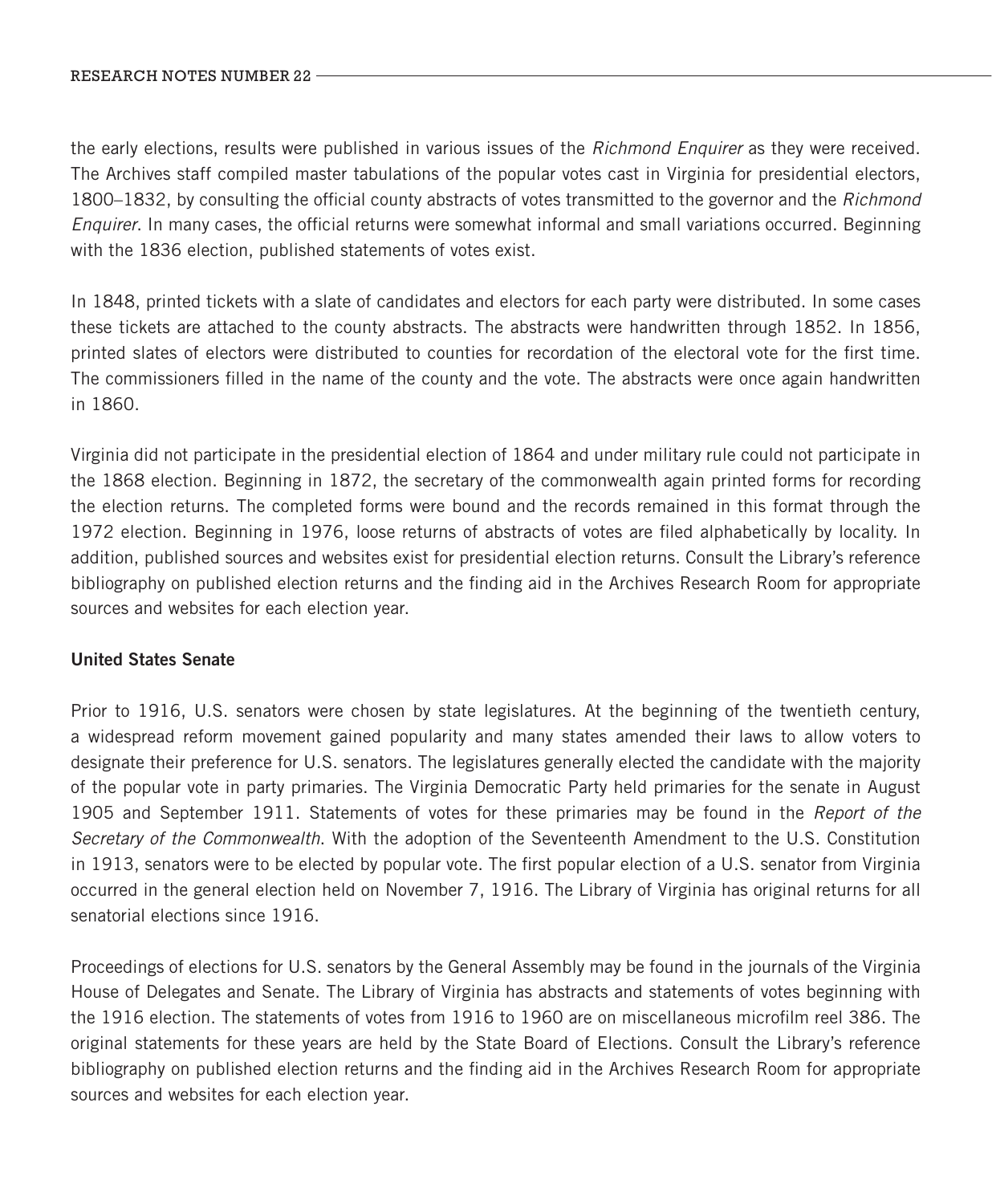the early elections, results were published in various issues of the *Richmond Enquirer* as they were received. The Archives staff compiled master tabulations of the popular votes cast in Virginia for presidential electors, 1800–1832, by consulting the official county abstracts of votes transmitted to the governor and the *Richmond Enquirer*. In many cases, the official returns were somewhat informal and small variations occurred. Beginning with the 1836 election, published statements of votes exist.

In 1848, printed tickets with a slate of candidates and electors for each party were distributed. In some cases these tickets are attached to the county abstracts. The abstracts were handwritten through 1852. In 1856, printed slates of electors were distributed to counties for recordation of the electoral vote for the first time. The commissioners filled in the name of the county and the vote. The abstracts were once again handwritten in 1860.

Virginia did not participate in the presidential election of 1864 and under military rule could not participate in the 1868 election. Beginning in 1872, the secretary of the commonwealth again printed forms for recording the election returns. The completed forms were bound and the records remained in this format through the 1972 election. Beginning in 1976, loose returns of abstracts of votes are filed alphabetically by locality. In addition, published sources and websites exist for presidential election returns. Consult the Library's reference bibliography on published election returns and the finding aid in the Archives Research Room for appropriate sources and websites for each election year.

#### United States Senate

Prior to 1916, U.S. senators were chosen by state legislatures. At the beginning of the twentieth century, a widespread reform movement gained popularity and many states amended their laws to allow voters to designate their preference for U.S. senators. The legislatures generally elected the candidate with the majority of the popular vote in party primaries. The Virginia Democratic Party held primaries for the senate in August 1905 and September 1911. Statements of votes for these primaries may be found in the *Report of the Secretary of the Commonwealth*. With the adoption of the Seventeenth Amendment to the U.S. Constitution in 1913, senators were to be elected by popular vote. The first popular election of a U.S. senator from Virginia occurred in the general election held on November 7, 1916. The Library of Virginia has original returns for all senatorial elections since 1916.

Proceedings of elections for U.S. senators by the General Assembly may be found in the journals of the Virginia House of Delegates and Senate. The Library of Virginia has abstracts and statements of votes beginning with the 1916 election. The statements of votes from 1916 to 1960 are on miscellaneous microfilm reel 386. The original statements for these years are held by the State Board of Elections. Consult the Library's reference bibliography on published election returns and the finding aid in the Archives Research Room for appropriate sources and websites for each election year.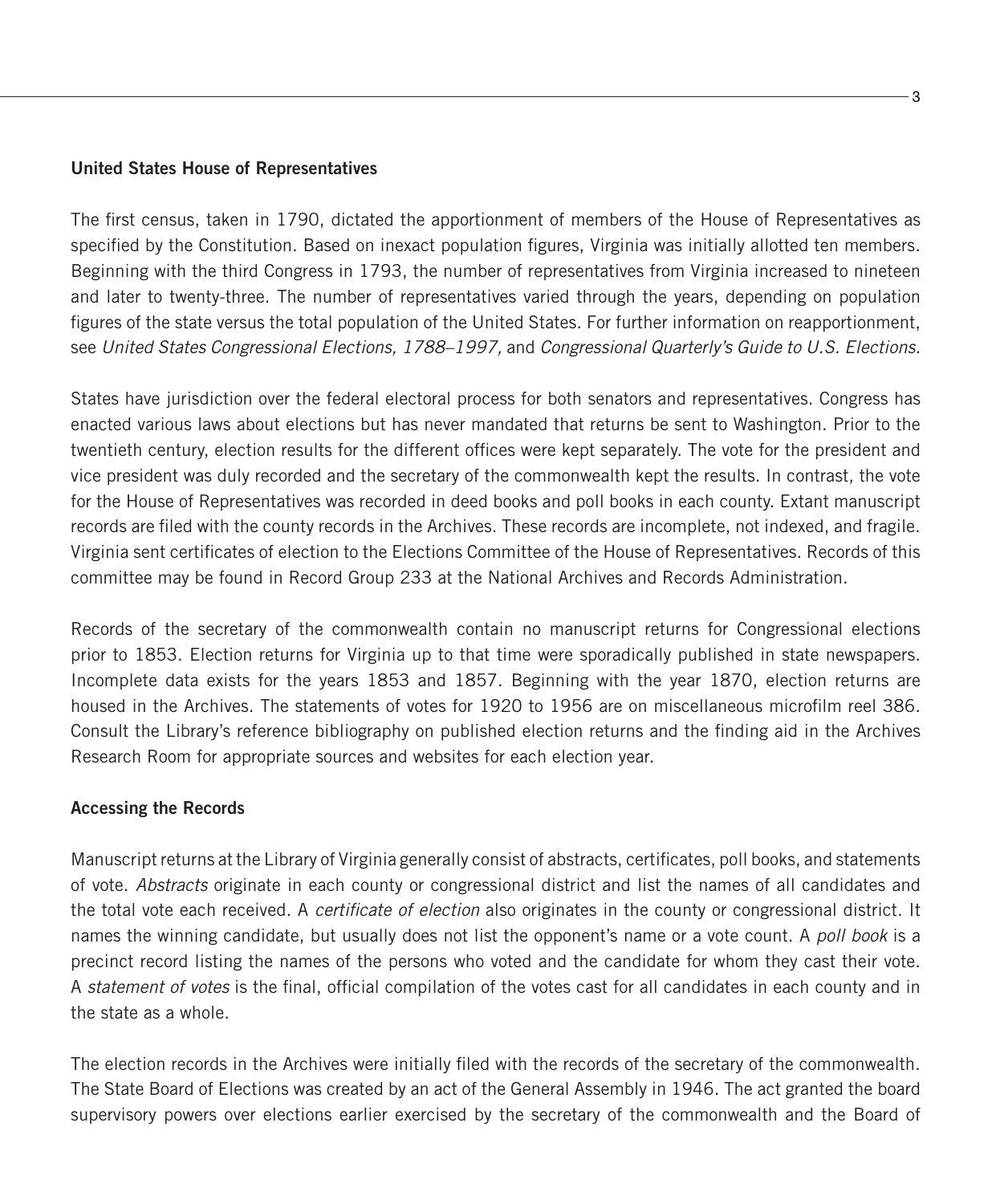#### United States House of Representatives

The first census, taken in 1790, dictated the apportionment of members of the House of Representatives as specified by the Constitution. Based on inexact population figures, Virginia was initially allotted ten members. Beginning with the third Congress in 1793, the number of representatives from Virginia increased to nineteen and later to twenty-three. The number of representatives varied through the years, depending on population figures of the state versus the total population of the United States. For further information on reapportionment, see *United States Congressional Elections, 1788–1997,* and *Congressional Quarterly's Guide to U.S. Elections.*

States have jurisdiction over the federal electoral process for both senators and representatives. Congress has enacted various laws about elections but has never mandated that returns be sent to Washington. Prior to the twentieth century, election results for the different offices were kept separately. The vote for the president and vice president was duly recorded and the secretary of the commonwealth kept the results. In contrast, the vote for the House of Representatives was recorded in deed books and poll books in each county. Extant manuscript records are filed with the county records in the Archives. These records are incomplete, not indexed, and fragile. Virginia sent certificates of election to the Elections Committee of the House of Representatives. Records of this committee may be found in Record Group 233 at the National Archives and Records Administration.

Records of the secretary of the commonwealth contain no manuscript returns for Congressional elections prior to 1853. Election returns for Virginia up to that time were sporadically published in state newspapers. Incomplete data exists for the years 1853 and 1857. Beginning with the year 1870, election returns are housed in the Archives. The statements of votes for 1920 to 1956 are on miscellaneous microfilm reel 386. Consult the Library's reference bibliography on published election returns and the finding aid in the Archives Research Room for appropriate sources and websites for each election year.

#### Accessing the Records

Manuscript returns at the Library of Virginia generally consist of abstracts, certificates, poll books, and statements of vote. *Abstracts* originate in each county or congressional district and list the names of all candidates and the total vote each received. A *certificate of election* also originates in the county or congressional district. It names the winning candidate, but usually does not list the opponent's name or a vote count. A *poll book* is a precinct record listing the names of the persons who voted and the candidate for whom they cast their vote. A *statement of votes* is the final, official compilation of the votes cast for all candidates in each county and in the state as a whole.

The election records in the Archives were initially filed with the records of the secretary of the commonwealth. The State Board of Elections was created by an act of the General Assembly in 1946. The act granted the board supervisory powers over elections earlier exercised by the secretary of the commonwealth and the Board of